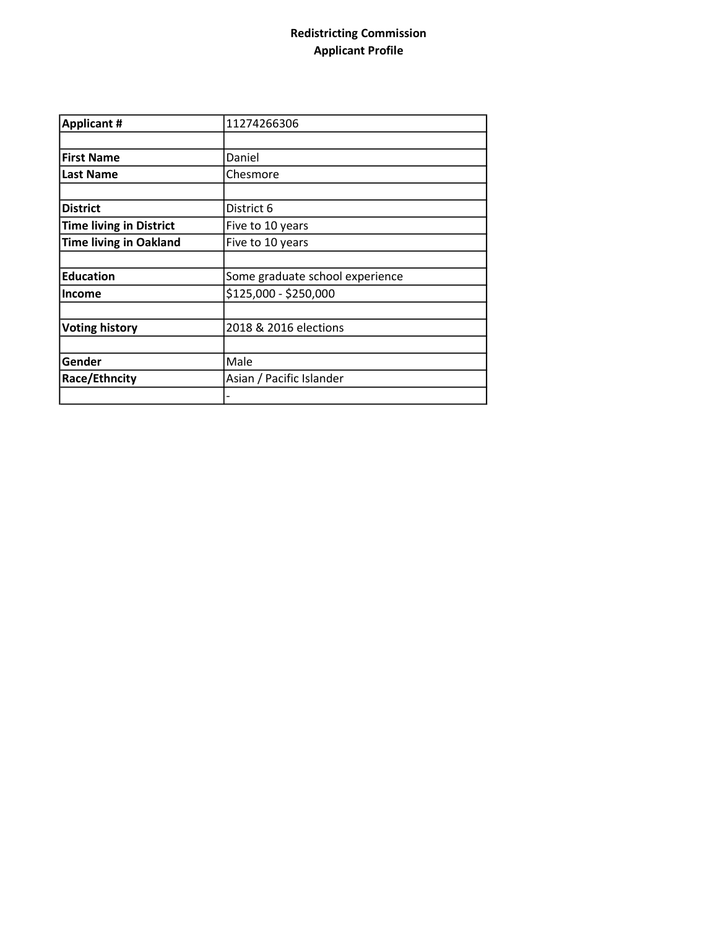## Redistricting Commission Applicant Profile

| <b>Applicant #</b>             | 11274266306                     |
|--------------------------------|---------------------------------|
|                                |                                 |
| <b>First Name</b>              | Daniel                          |
| <b>Last Name</b>               | Chesmore                        |
|                                |                                 |
| <b>District</b>                | District 6                      |
| <b>Time living in District</b> | Five to 10 years                |
| <b>Time living in Oakland</b>  | Five to 10 years                |
|                                |                                 |
| <b>Education</b>               | Some graduate school experience |
| <b>Income</b>                  | \$125,000 - \$250,000           |
|                                |                                 |
| <b>Voting history</b>          | 2018 & 2016 elections           |
|                                |                                 |
| Gender                         | Male                            |
| Race/Ethncity                  | Asian / Pacific Islander        |
|                                |                                 |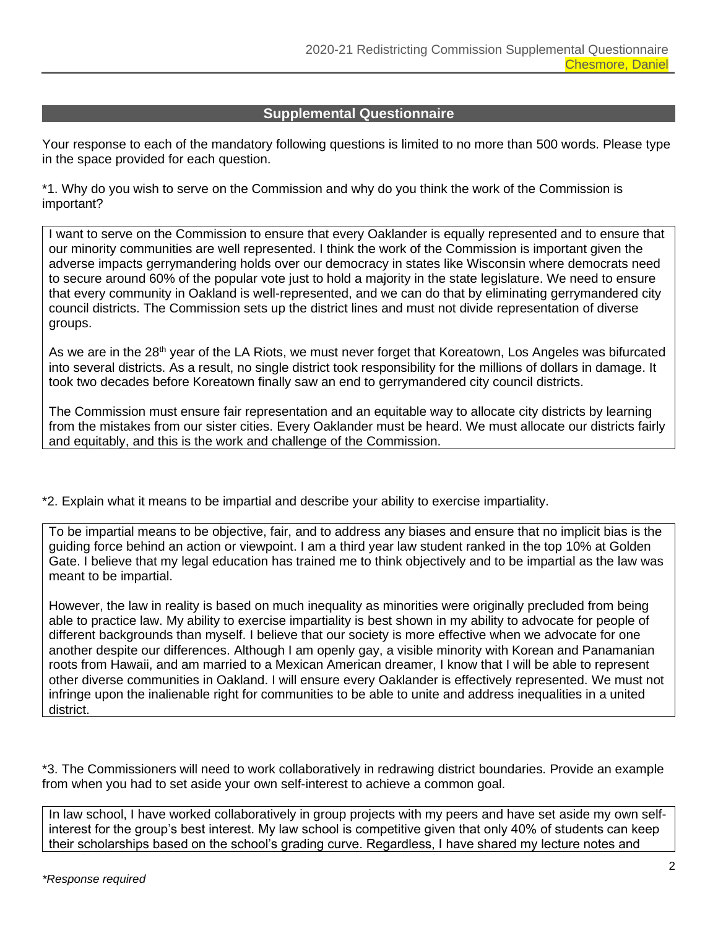## **Supplemental Questionnaire**

Your response to each of the mandatory following questions is limited to no more than 500 words. Please type in the space provided for each question.

\*1. Why do you wish to serve on the Commission and why do you think the work of the Commission is important?

I want to serve on the Commission to ensure that every Oaklander is equally represented and to ensure that our minority communities are well represented. I think the work of the Commission is important given the adverse impacts gerrymandering holds over our democracy in states like Wisconsin where democrats need to secure around 60% of the popular vote just to hold a majority in the state legislature. We need to ensure that every community in Oakland is well-represented, and we can do that by eliminating gerrymandered city council districts. The Commission sets up the district lines and must not divide representation of diverse groups.

As we are in the 28<sup>th</sup> year of the LA Riots, we must never forget that Koreatown, Los Angeles was bifurcated into several districts. As a result, no single district took responsibility for the millions of dollars in damage. It took two decades before Koreatown finally saw an end to gerrymandered city council districts.

The Commission must ensure fair representation and an equitable way to allocate city districts by learning from the mistakes from our sister cities. Every Oaklander must be heard. We must allocate our districts fairly and equitably, and this is the work and challenge of the Commission.

\*2. Explain what it means to be impartial and describe your ability to exercise impartiality.

To be impartial means to be objective, fair, and to address any biases and ensure that no implicit bias is the guiding force behind an action or viewpoint. I am a third year law student ranked in the top 10% at Golden Gate. I believe that my legal education has trained me to think objectively and to be impartial as the law was meant to be impartial.

However, the law in reality is based on much inequality as minorities were originally precluded from being able to practice law. My ability to exercise impartiality is best shown in my ability to advocate for people of different backgrounds than myself. I believe that our society is more effective when we advocate for one another despite our differences. Although I am openly gay, a visible minority with Korean and Panamanian roots from Hawaii, and am married to a Mexican American dreamer, I know that I will be able to represent other diverse communities in Oakland. I will ensure every Oaklander is effectively represented. We must not infringe upon the inalienable right for communities to be able to unite and address inequalities in a united district.

\*3. The Commissioners will need to work collaboratively in redrawing district boundaries. Provide an example from when you had to set aside your own self-interest to achieve a common goal.

In law school, I have worked collaboratively in group projects with my peers and have set aside my own selfinterest for the group's best interest. My law school is competitive given that only 40% of students can keep their scholarships based on the school's grading curve. Regardless, I have shared my lecture notes and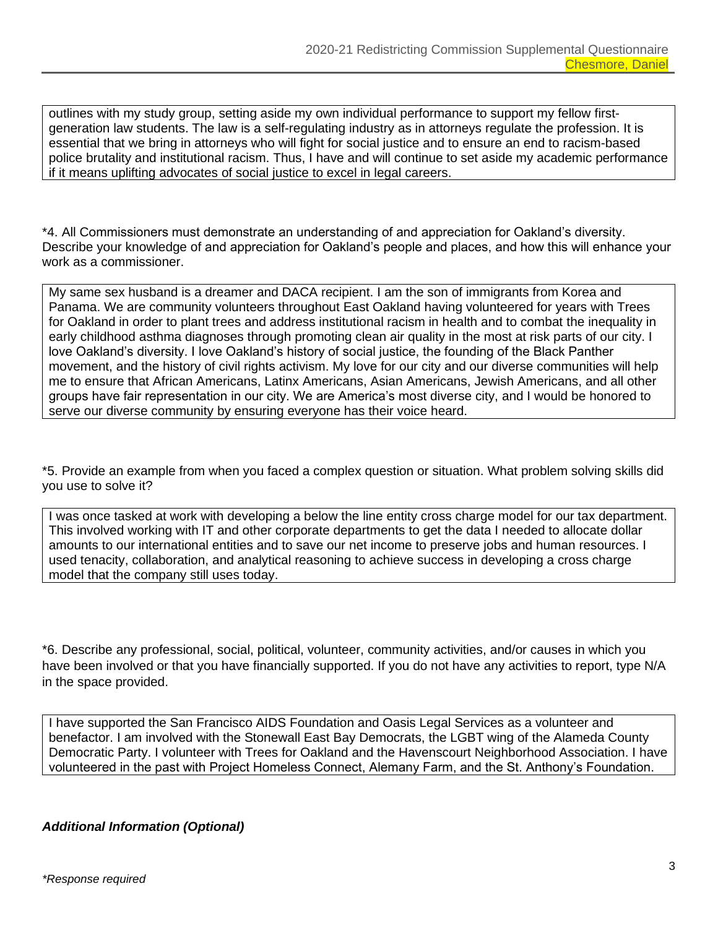outlines with my study group, setting aside my own individual performance to support my fellow firstgeneration law students. The law is a self-regulating industry as in attorneys regulate the profession. It is essential that we bring in attorneys who will fight for social justice and to ensure an end to racism-based police brutality and institutional racism. Thus, I have and will continue to set aside my academic performance if it means uplifting advocates of social justice to excel in legal careers.

\*4. All Commissioners must demonstrate an understanding of and appreciation for Oakland's diversity. Describe your knowledge of and appreciation for Oakland's people and places, and how this will enhance your work as a commissioner.

My same sex husband is a dreamer and DACA recipient. I am the son of immigrants from Korea and Panama. We are community volunteers throughout East Oakland having volunteered for years with Trees for Oakland in order to plant trees and address institutional racism in health and to combat the inequality in early childhood asthma diagnoses through promoting clean air quality in the most at risk parts of our city. I love Oakland's diversity. I love Oakland's history of social justice, the founding of the Black Panther movement, and the history of civil rights activism. My love for our city and our diverse communities will help me to ensure that African Americans, Latinx Americans, Asian Americans, Jewish Americans, and all other groups have fair representation in our city. We are America's most diverse city, and I would be honored to serve our diverse community by ensuring everyone has their voice heard.

\*5. Provide an example from when you faced a complex question or situation. What problem solving skills did you use to solve it?

I was once tasked at work with developing a below the line entity cross charge model for our tax department. This involved working with IT and other corporate departments to get the data I needed to allocate dollar amounts to our international entities and to save our net income to preserve jobs and human resources. I used tenacity, collaboration, and analytical reasoning to achieve success in developing a cross charge model that the company still uses today.

\*6. Describe any professional, social, political, volunteer, community activities, and/or causes in which you have been involved or that you have financially supported. If you do not have any activities to report, type N/A in the space provided.

I have supported the San Francisco AIDS Foundation and Oasis Legal Services as a volunteer and benefactor. I am involved with the Stonewall East Bay Democrats, the LGBT wing of the Alameda County Democratic Party. I volunteer with Trees for Oakland and the Havenscourt Neighborhood Association. I have volunteered in the past with Project Homeless Connect, Alemany Farm, and the St. Anthony's Foundation.

## *Additional Information (Optional)*